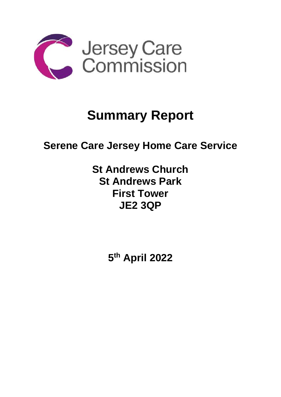

# **Summary Report**

## **Serene Care Jersey Home Care Service**

### **St Andrews Church St Andrews Park First Tower JE2 3QP**

**5 th April 2022**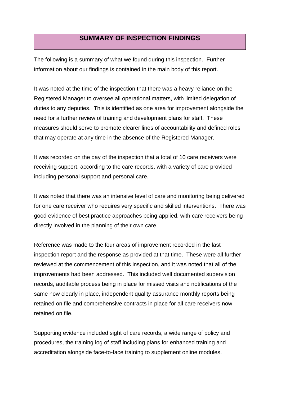#### **SUMMARY OF INSPECTION FINDINGS**

The following is a summary of what we found during this inspection. Further information about our findings is contained in the main body of this report.

It was noted at the time of the inspection that there was a heavy reliance on the Registered Manager to oversee all operational matters, with limited delegation of duties to any deputies. This is identified as one area for improvement alongside the need for a further review of training and development plans for staff. These measures should serve to promote clearer lines of accountability and defined roles that may operate at any time in the absence of the Registered Manager.

It was recorded on the day of the inspection that a total of 10 care receivers were receiving support, according to the care records, with a variety of care provided including personal support and personal care.

It was noted that there was an intensive level of care and monitoring being delivered for one care receiver who requires very specific and skilled interventions. There was good evidence of best practice approaches being applied, with care receivers being directly involved in the planning of their own care.

Reference was made to the four areas of improvement recorded in the last inspection report and the response as provided at that time. These were all further reviewed at the commencement of this inspection, and it was noted that all of the improvements had been addressed. This included well documented supervision records, auditable process being in place for missed visits and notifications of the same now clearly in place, independent quality assurance monthly reports being retained on file and comprehensive contracts in place for all care receivers now retained on file.

Supporting evidence included sight of care records, a wide range of policy and procedures, the training log of staff including plans for enhanced training and accreditation alongside face-to-face training to supplement online modules.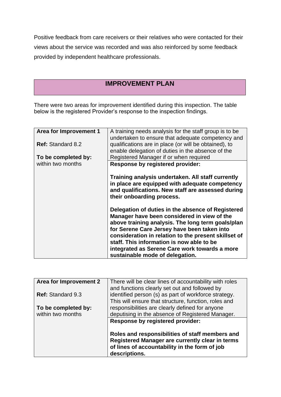Positive feedback from care receivers or their relatives who were contacted for their views about the service was recorded and was also reinforced by some feedback provided by independent healthcare professionals.

#### **IMPROVEMENT PLAN**

There were two areas for improvement identified during this inspection. The table below is the registered Provider's response to the inspection findings.

| <b>Area for Improvement 1</b> | A training needs analysis for the staff group is to be<br>undertaken to ensure that adequate competency and                                           |
|-------------------------------|-------------------------------------------------------------------------------------------------------------------------------------------------------|
| <b>Ref: Standard 8.2</b>      | qualifications are in place (or will be obtained), to<br>enable delegation of duties in the absence of the                                            |
| To be completed by:           | Registered Manager if or when required                                                                                                                |
| within two months             | <b>Response by registered provider:</b>                                                                                                               |
|                               | Training analysis undertaken. All staff currently                                                                                                     |
|                               | in place are equipped with adequate competency<br>and qualifications. New staff are assessed during<br>their onboarding process.                      |
|                               | Delegation of duties in the absence of Registered<br>Manager have been considered in view of the<br>above training analysis. The long term goals/plan |
|                               | for Serene Care Jersey have been taken into<br>consideration in relation to the present skillset of                                                   |
|                               | staff. This information is now able to be                                                                                                             |
|                               | integrated as Serene Care work towards a more                                                                                                         |
|                               | sustainable mode of delegation.                                                                                                                       |

| Area for Improvement 2   | There will be clear lines of accountability with roles<br>and functions clearly set out and followed by                                                              |
|--------------------------|----------------------------------------------------------------------------------------------------------------------------------------------------------------------|
| <b>Ref: Standard 9.3</b> | identified person (s) as part of workforce strategy.<br>This will ensure that structure, function, roles and                                                         |
| To be completed by:      | responsibilities are clearly defined for anyone                                                                                                                      |
| within two months        | deputising in the absence of Registered Manager.                                                                                                                     |
|                          | <b>Response by registered provider:</b>                                                                                                                              |
|                          | Roles and responsibilities of staff members and<br>Registered Manager are currently clear in terms<br>of lines of accountability in the form of job<br>descriptions. |